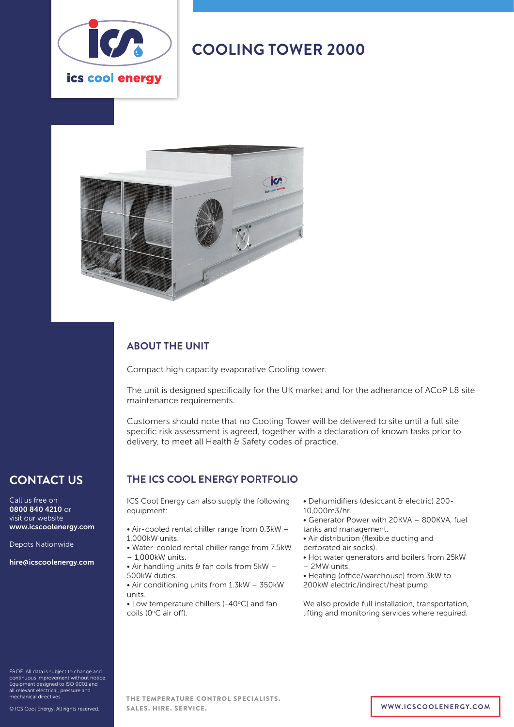

# **COOLING TOWER 2000**



### **ABOUT THE UNIT**

Compact high capacity evaporative Cooling tower.

The unit is designed specifically for the UK market and for the adherance of ACoP L8 site maintenance requirements.

Customers should note that no Cooling Tower will be delivered to site until a full site specific risk assessment is agreed, together with a declaration of known tasks prior to delivery, to meet all Health & Safety codes of practice.

## **CONTACT US**

Call us free on 0800 840 4210 or visit our website www.icscoolenergy.com

Depots Nationwide

hire@icscoolenergy.com

E&OE. All data is subject to change and continuous improvement without notice. Equipment designed to ISO 9001 and all relevant electrical, pressure and mechanical directives.

© ICS Cool Energy. All rights reserved.

### **THE ICS COOL ENERGY PORTFOLIO**

ICS Cool Energy can also supply the following equipment:

- Air-cooled rental chiller range from 0.3kW 1,000kW units.
- Water-cooled rental chiller range from 7.5kW – 1,000kW units.
- $\bullet$  Air handling units & fan coils from 5kW -500kW duties.
- Air conditioning units from 1.3kW 350kW units.

 $\bullet$  Low temperature chillers (-40 $\degree$ C) and fan coils (0°C air off).

• Dehumidifiers (desiccant & electric) 200- 10,000m3/hr.

- Generator Power with 20KVA 800KVA, fuel tanks and management.
- Air distribution (flexible ducting and perforated air socks).
- Hot water generators and boilers from 25kW
- 2MW units.

• Heating (office/warehouse) from 3kW to 200kW electric/indirect/heat pump.

We also provide full installation, transportation, lifting and monitoring services where required.

THE TEMPERATURE CONTROL SPECIALISTS. SALES. HIRE. SERVICE. **WWW.ICSCOOLENERGY.COM**